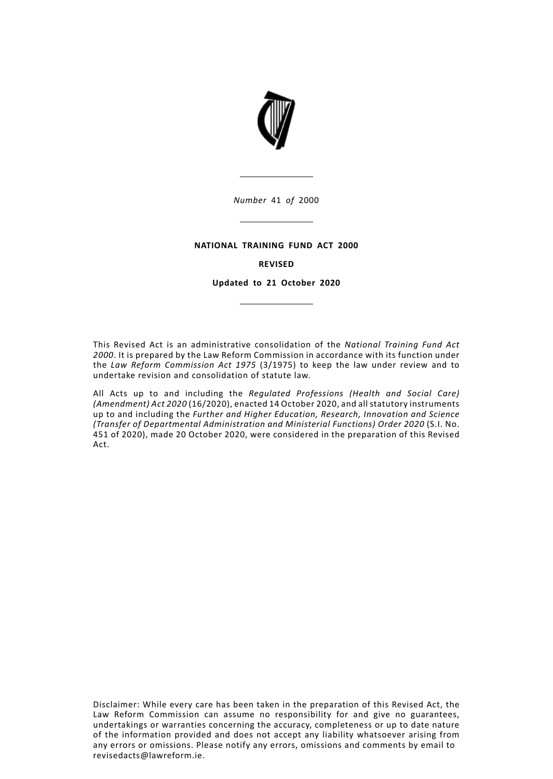

*Number* 41 *of* 2000

## **NATIONAL TRAINING FUND ACT 2000**

# **REVISED**

**Updated to 21 October 2020**

This Revised Act is an administrative consolidation of the *National Training Fund Act 2000*. It is prepared by the Law Reform Commission in accordance with its function under the *Law Reform Commission Act 1975* (3/1975) to keep the law under review and to undertake revision and consolidation of statute law.

All Acts up to and including the *Regulated Professions (Health and Social Care) (Amendment) Act 2020* (16/2020), enacted 14 October 2020, and all statutory instruments up to and including the *Further and Higher Education, Research, Innovation and Science (Transfer of Departmental Administration and Ministerial Functions) Order 2020* (S.I. No. 451 of 2020), made 20 October 2020, were considered in the preparation of this Revised Act.

Disclaimer: While every care has been taken in the preparation of this Revised Act, the Law Reform Commission can assume no responsibility for and give no guarantees, undertakings or warranties concerning the accuracy, completeness or up to date nature of the information provided and does not accept any liability whatsoever arising from any errors or omissions. Please notify any errors, omissions and comments by email to revisedacts@lawreform.ie.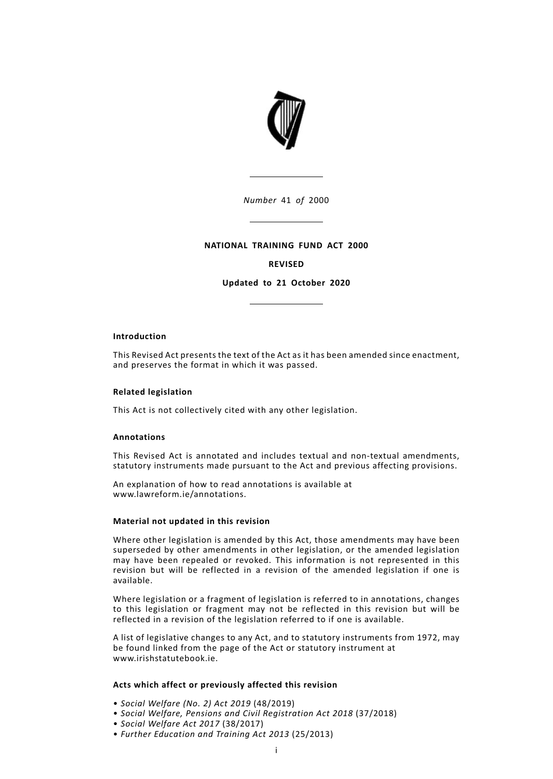

*Number* 41 *of* 2000

## **NATIONAL TRAINING FUND ACT 2000**

## **REVISED**

**Updated to 21 October 2020**

#### **Introduction**

This Revised Act presents the text of the Act as it has been amended since enactment, and preserves the format in which it was passed.

## **Related legislation**

This Act is not collectively cited with any other legislation.

## **Annotations**

This Revised Act is annotated and includes textual and non-textual amendments, statutory instruments made pursuant to the Act and previous affecting provisions.

An explanation of how to read annotations is available at www.lawreform.ie/annotations.

#### **Material not updated in this revision**

Where other legislation is amended by this Act, those amendments may have been superseded by other amendments in other legislation, or the amended legislation may have been repealed or revoked. This information is not represented in this revision but will be reflected in a revision of the amended legislation if one is available.

Where legislation or a fragment of legislation is referred to in annotations, changes to this legislation or fragment may not be reflected in this revision but will be reflected in a revision of the legislation referred to if one is available.

A list of legislative changes to any Act, and to statutory instruments from 1972, may be found linked from the page of the Act or statutory instrument at www.irishstatutebook.ie.

## **Acts which affect or previously affected this revision**

- *Social Welfare (No. 2) Act 2019* (48/2019)
- *Social Welfare, Pensions and Civil Registration Act 2018* (37/2018)
- *Social Welfare Act 2017* (38/2017)
- *Further Education and Training Act 2013* (25/2013)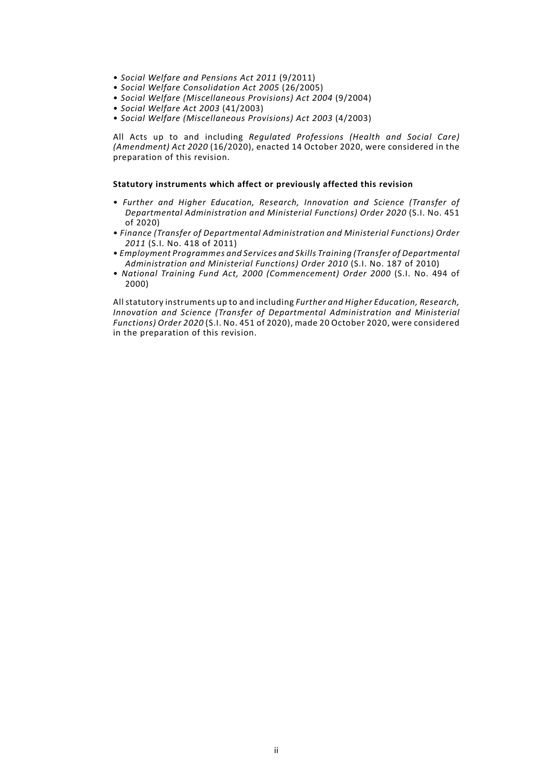- *Social Welfare and Pensions Act 2011* (9/2011)
- *Social Welfare Consolidation Act 2005* (26/2005)
- *Social Welfare (Miscellaneous Provisions) Act 2004* (9/2004)
- *Social Welfare Act 2003* (41/2003)
- *Social Welfare (Miscellaneous Provisions) Act 2003* (4/2003)

All Acts up to and including *Regulated Professions (Health and Social Care) (Amendment) Act 2020* (16/2020), enacted 14 October 2020, were considered in the preparation of this revision.

#### **Statutory instruments which affect or previously affected this revision**

- *Further and Higher Education, Research, Innovation and Science (Transfer of Departmental Administration and Ministerial Functions) Order 2020* (S.I. No. 451 of 2020)
- *Finance (Transfer of Departmental Administration and Ministerial Functions) Order 2011* (S.I. No. 418 of 2011)
- *Employment Programmes and Services and Skills Training (Transfer of Departmental Administration and Ministerial Functions) Order 2010* (S.I. No. 187 of 2010)
- *National Training Fund Act, 2000 (Commencement) Order 2000* (S.I. No. 494 of 2000)

All statutory instruments up to and including *Further and Higher Education, Research, Innovation and Science (Transfer of Departmental Administration and Ministerial Functions) Order 2020* (S.I. No. 451 of 2020), made 20 October 2020, were considered in the preparation of this revision.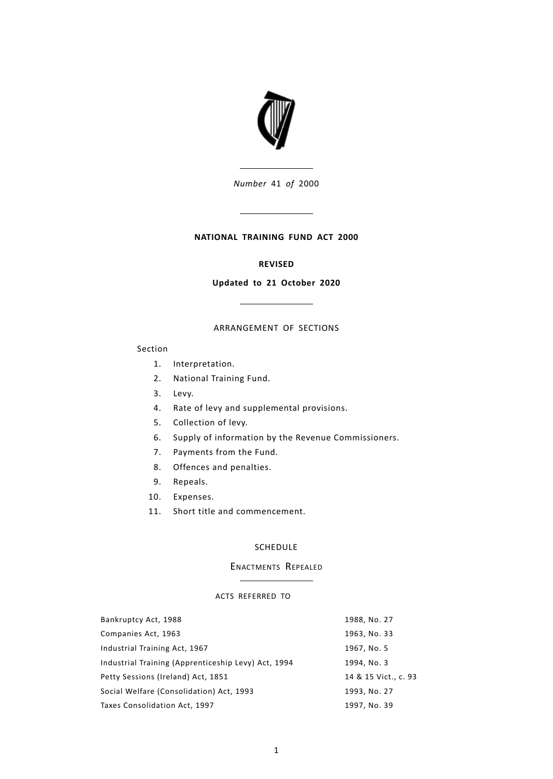

*Number* 41 *of* 2000

## **NATIONAL TRAINING FUND ACT 2000**

# **REVISED**

## **Updated to 21 October 2020**

# ARRANGEMENT OF SECTIONS

## Section

- 1. [Interpretation.](#page-6-0)
- 2. [National](#page-7-0) Training Fund.
- 3. [Levy.](#page-9-0)
- 4. Rate of levy and [supplemental](#page-9-1) provisions.
- 5. [Collection](#page-11-0) of levy.
- 6. Supply of information by the Revenue [Commissioners.](#page-12-0)
- 7. [Payments](#page-12-1) from the Fund.
- 8. Offences and [penalties.](#page-14-0)
- 9. [Repeals.](#page-14-1)
- 10. [Expenses.](#page-14-2)
- 11. Short title and [commencement.](#page-15-0)

## [SCHEDULE](#page-16-0)

## ENACTMENTS REPEALED

## ACTS REFERRED TO

| Bankruptcy Act, 1988                                | 1988, No. 27         |
|-----------------------------------------------------|----------------------|
| Companies Act, 1963                                 | 1963, No. 33         |
| Industrial Training Act, 1967                       | 1967, No. 5          |
| Industrial Training (Apprenticeship Levy) Act, 1994 | 1994, No. 3          |
| Petty Sessions (Ireland) Act, 1851                  | 14 & 15 Vict., c. 93 |
| Social Welfare (Consolidation) Act, 1993            | 1993, No. 27         |
| Taxes Consolidation Act, 1997                       | 1997, No. 39         |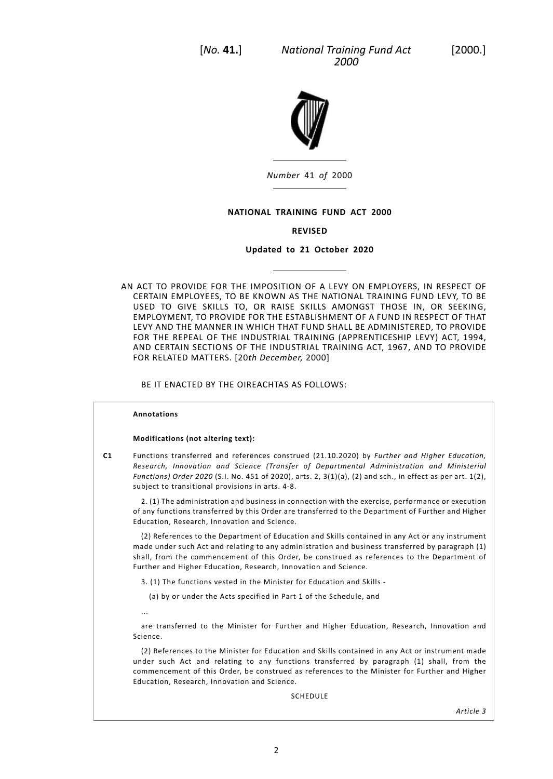*National Training Fund Act* [2000.] *2000*



*Number* 41 *of* 2000

## **NATIONAL TRAINING FUND ACT 2000**

## **REVISED**

## **Updated to 21 October 2020**

AN ACT TO PROVIDE FOR THE IMPOSITION OF A LEVY ON EMPLOYERS, IN RESPECT OF CERTAIN EMPLOYEES, TO BE KNOWN AS THE NATIONAL TRAINING FUND LEVY, TO BE USED TO GIVE SKILLS TO, OR RAISE SKILLS AMONGST THOSE IN, OR SEEKING, EMPLOYMENT, TO PROVIDE FOR THE ESTABLISHMENT OF A FUND IN RESPECT OF THAT LEVY AND THE MANNER IN WHICH THAT FUND SHALL BE ADMINISTERED, TO PROVIDE FOR THE REPEAL OF THE INDUSTRIAL TRAINING (APPRENTICESHIP LEVY) ACT, 1994, AND CERTAIN SECTIONS OF THE INDUSTRIAL TRAINING ACT, 1967, AND TO PROVIDE FOR RELATED MATTERS. [20*th December,* 2000]

BE IT ENACTED BY THE OIREACHTAS AS FOLLOWS:

#### **Annotations**

#### **Modifications (not altering text):**

**C1** Functions transferred and references construed (21.10.2020) by *Further and Higher Education, Research, Innovation and Science (Transfer of Departmental Administration and Ministerial Functions) Order 2020* (S.I. No. 451 of 2020), arts. 2, 3(1)(a), (2) and sch., in effect as per art. 1(2), subject to transitional provisions in arts. 4-8.

2. (1) The administration and business in connection with the exercise, performance or execution of any functions transferred by this Order are transferred to the Department of Further and Higher Education, Research, Innovation and Science.

(2) References to the Department of Education and Skills contained in any Act or any instrument made under such Act and relating to any administration and business transferred by paragraph (1) shall, from the commencement of this Order, be construed as references to the Department of Further and Higher Education, Research, Innovation and Science.

- 3. (1) The functions vested in the Minister for Education and Skills
	- (a) by or under the Acts specified in Part 1 of the Schedule, and
- ...

are transferred to the Minister for Further and Higher Education, Research, Innovation and Science.

(2) References to the Minister for Education and Skills contained in any Act or instrument made under such Act and relating to any functions transferred by paragraph (1) shall, from the commencement of this Order, be construed as references to the Minister for Further and Higher Education, Research, Innovation and Science.

SCHEDULE

*Article 3*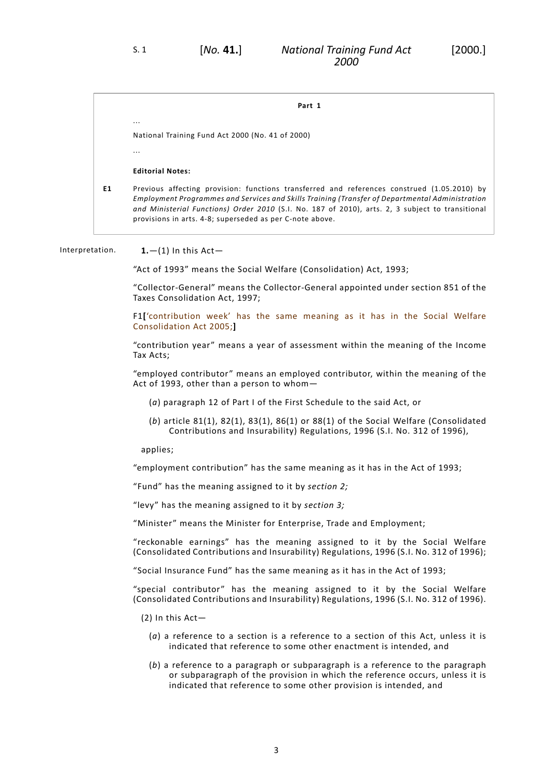**Part 1**

National Training Fund Act 2000 (No. 41 of 2000)

...

...

## **Editorial Notes:**

<span id="page-6-0"></span>**E1** Previous affecting provision: functions transferred and references construed (1.05.2010) by *Employment Programmes and Services and Skills Training (Transfer of Departmental Administration and Ministerial Functions) Order 2010* (S.I. No. 187 of 2010), arts. 2, 3 subject to transitional provisions in arts. 4-8; superseded as per C-note above.

## Interpretation. **1.**—(1) In this Act—

"Act of 1993" means the Social Welfare (Consolidation) Act, 1993;

"Collector-General" means the Collector-General appointed under section 851 of the Taxes Consolidation Act, 1997;

F1**[**'contribution week' has the same meaning as it has in the Social Welfare Consolidation Act 2005;**]**

"contribution year" means a year of assessment within the meaning of the Income Tax Acts;

"employed contributor" means an employed contributor, within the meaning of the Act of 1993, other than a person to whom—

- (*a*) paragraph 12 of Part I of the First Schedule to the said Act, or
- (*b*) article 81(1), 82(1), 83(1), 86(1) or 88(1) of the Social Welfare (Consolidated Contributions and Insurability) Regulations, 1996 (S.I. No. 312 of 1996),

#### applies;

"employment contribution" has the same meaning as it has in the Act of 1993;

"Fund" has the meaning assigned to it by *section 2;*

"levy" has the meaning assigned to it by *section 3;*

"Minister" means the Minister for Enterprise, Trade and Employment;

"reckonable earnings" has the meaning assigned to it by the Social Welfare (Consolidated Contributions and Insurability) Regulations, 1996 (S.I. No. 312 of 1996);

"Social Insurance Fund" has the same meaning as it has in the Act of 1993;

"special contributor" has the meaning assigned to it by the Social Welfare (Consolidated Contributions and Insurability) Regulations, 1996 (S.I. No. 312 of 1996).

(2) In this Act—

- (*a*) a reference to a section is a reference to a section of this Act, unless it is indicated that reference to some other enactment is intended, and
- (*b*) a reference to a paragraph or subparagraph is a reference to the paragraph or subparagraph of the provision in which the reference occurs, unless it is indicated that reference to some other provision is intended, and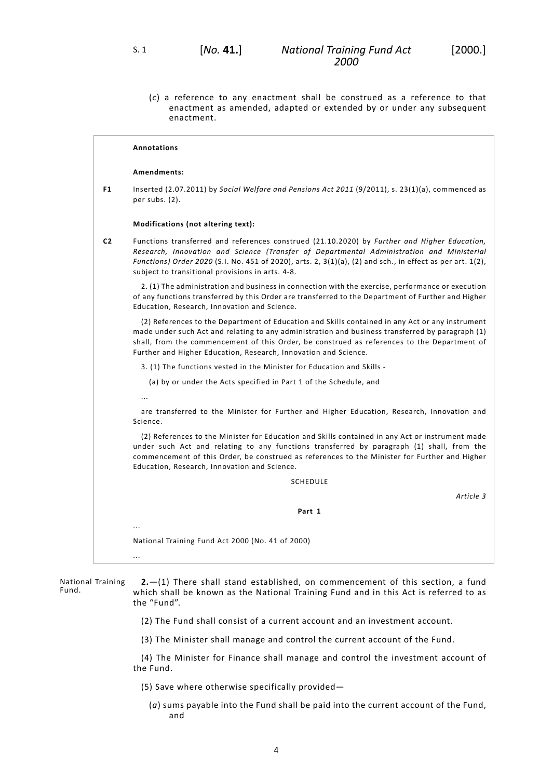(*c*) a reference to any enactment shall be construed as a reference to that enactment as amended, adapted or extended by or under any subsequent enactment.

## **Annotations**

#### **Amendments:**

**F1** Inserted (2.07.2011) by *Social Welfare and Pensions Act 2011* (9/2011), s. 23(1)(a), commenced as per subs. (2).

#### **Modifications (not altering text):**

**C2** Functions transferred and references construed (21.10.2020) by *Further and Higher Education, Research, Innovation and Science (Transfer of Departmental Administration and Ministerial Functions) Order 2020* (S.I. No. 451 of 2020), arts. 2, 3(1)(a), (2) and sch., in effect as per art. 1(2), subject to transitional provisions in arts. 4-8.

2. (1) The administration and business in connection with the exercise, performance or execution of any functions transferred by this Order are transferred to the Department of Further and Higher Education, Research, Innovation and Science.

(2) References to the Department of Education and Skills contained in any Act or any instrument made under such Act and relating to any administration and business transferred by paragraph (1) shall, from the commencement of this Order, be construed as references to the Department of Further and Higher Education, Research, Innovation and Science.

3. (1) The functions vested in the Minister for Education and Skills -

- (a) by or under the Acts specified in Part 1 of the Schedule, and
- ...

<span id="page-7-0"></span>...

...

are transferred to the Minister for Further and Higher Education, Research, Innovation and Science.

(2) References to the Minister for Education and Skills contained in any Act or instrument made under such Act and relating to any functions transferred by paragraph (1) shall, from the commencement of this Order, be construed as references to the Minister for Further and Higher Education, Research, Innovation and Science.

**SCHEDULE** 

*Article 3*

**Part 1**

National Training Fund Act 2000 (No. 41 of 2000)

National Training Fund. **2.**—(1) There shall stand established, on commencement of this section, a fund which shall be known as the National Training Fund and in this Act is referred to as the "Fund".

- (2) The Fund shall consist of a current account and an investment account.
- (3) The Minister shall manage and control the current account of the Fund.

(4) The Minister for Finance shall manage and control the investment account of the Fund.

- (5) Save where otherwise specifically provided—
	- (*a*) sums payable into the Fund shall be paid into the current account of the Fund, and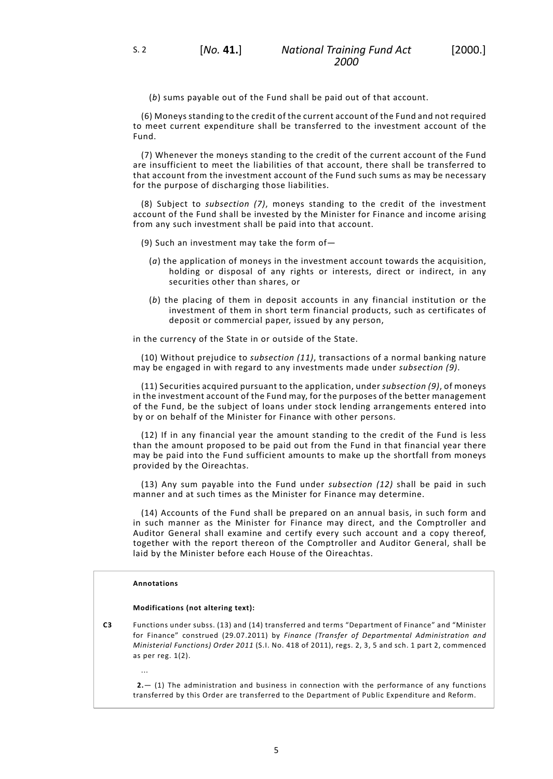(*b*) sums payable out of the Fund shall be paid out of that account.

(6) Moneys standing to the credit of the current account of the Fund and not required to meet current expenditure shall be transferred to the investment account of the Fund.

(7) Whenever the moneys standing to the credit of the current account of the Fund are insufficient to meet the liabilities of that account, there shall be transferred to that account from the investment account of the Fund such sums as may be necessary for the purpose of discharging those liabilities.

(8) Subject to *subsection (7)*, moneys standing to the credit of the investment account of the Fund shall be invested by the Minister for Finance and income arising from any such investment shall be paid into that account.

- (9) Such an investment may take the form of—
	- (*a*) the application of moneys in the investment account towards the acquisition, holding or disposal of any rights or interests, direct or indirect, in any securities other than shares, or
	- (*b*) the placing of them in deposit accounts in any financial institution or the investment of them in short term financial products, such as certificates of deposit or commercial paper, issued by any person,

in the currency of the State in or outside of the State.

(10) Without prejudice to *subsection (11)*, transactions of a normal banking nature may be engaged in with regard to any investments made under *subsection (9)*.

(11) Securities acquired pursuant to the application, under *subsection (9)*, of moneys in the investment account of the Fund may, for the purposes of the better management of the Fund, be the subject of loans under stock lending arrangements entered into by or on behalf of the Minister for Finance with other persons.

(12) If in any financial year the amount standing to the credit of the Fund is less than the amount proposed to be paid out from the Fund in that financial year there may be paid into the Fund sufficient amounts to make up the shortfall from moneys provided by the Oireachtas.

(13) Any sum payable into the Fund under *subsection (12)* shall be paid in such manner and at such times as the Minister for Finance may determine.

(14) Accounts of the Fund shall be prepared on an annual basis, in such form and in such manner as the Minister for Finance may direct, and the Comptroller and Auditor General shall examine and certify every such account and a copy thereof, together with the report thereon of the Comptroller and Auditor General, shall be laid by the Minister before each House of the Oireachtas.

#### **Annotations**

...

#### **Modifications (not altering text):**

**C3** Functions under subss. (13) and (14) transferred and terms "Department of Finance" and "Minister for Finance" construed (29.07.2011) by *Finance (Transfer of Departmental Administration and Ministerial Functions) Order 2011* (S.I. No. 418 of 2011), regs. 2, 3, 5 and sch. 1 part 2, commenced as per reg. 1(2).

**2.**— (1) The administration and business in connection with the performance of any functions transferred by this Order are transferred to the Department of Public Expenditure and Reform.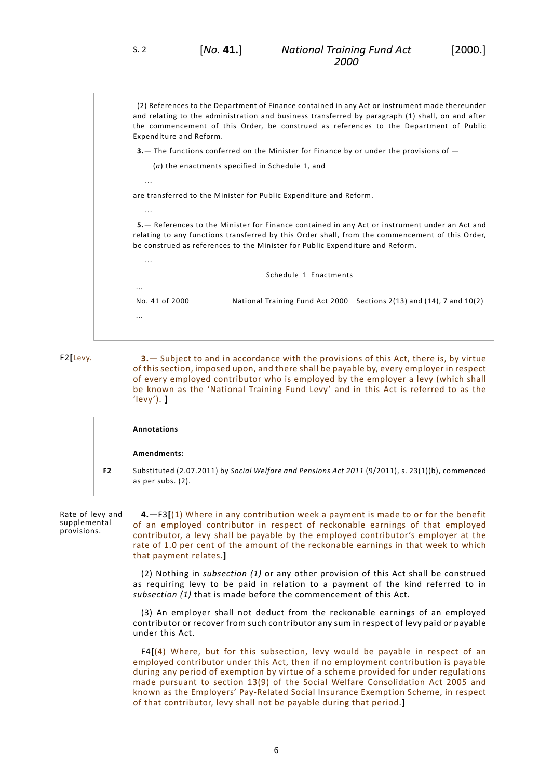...

...

...

...

<span id="page-9-0"></span>...

(2) References to the Department of Finance contained in any Act or instrument made thereunder and relating to the administration and business transferred by paragraph (1) shall, on and after the commencement of this Order, be construed as references to the Department of Public Expenditure and Reform.

**3.**— The functions conferred on the Minister for Finance by or under the provisions of —

(*a*) the enactments specified in Schedule 1, and

are transferred to the Minister for Public Expenditure and Reform.

**5.**— References to the Minister for Finance contained in any Act or instrument under an Act and relating to any functions transferred by this Order shall, from the commencement of this Order, be construed as references to the Minister for Public Expenditure and Reform.

Schedule 1 Enactments

No. 41 of 2000 National Training Fund Act 2000 Sections 2(13) and (14), 7 and 10(2)

F2**[**Levy. **3.**— Subject to and in accordance with the provisions of this Act, there is, by virtue of this section, imposed upon, and there shall be payable by, every employer in respect of every employed contributor who is employed by the employer a levy (which shall be known as the 'National Training Fund Levy' and in this Act is referred to as the 'levy'). **]**

<span id="page-9-1"></span>

|    | Annotations                                                                                                              |
|----|--------------------------------------------------------------------------------------------------------------------------|
|    | Amendments:                                                                                                              |
| F2 | Substituted (2.07.2011) by Social Welfare and Pensions Act 2011 (9/2011), s. 23(1)(b), commenced<br>as per subs. $(2)$ . |

Rate of levy and supplemental provisions.

**4.**—F3**[**(1) Where in any contribution week a payment is made to or for the benefit of an employed contributor in respect of reckonable earnings of that employed contributor, a levy shall be payable by the employed contributor's employer at the rate of 1.0 per cent of the amount of the reckonable earnings in that week to which that payment relates.**]**

(2) Nothing in *subsection (1)* or any other provision of this Act shall be construed as requiring levy to be paid in relation to a payment of the kind referred to in *subsection (1)* that is made before the commencement of this Act.

(3) An employer shall not deduct from the reckonable earnings of an employed contributor or recover from such contributor any sum in respect of levy paid or payable under this Act.

F4**[**(4) Where, but for this subsection, levy would be payable in respect of an employed contributor under this Act, then if no employment contribution is payable during any period of exemption by virtue of a scheme provided for under regulations made pursuant to section 13(9) of the Social Welfare Consolidation Act 2005 and known as the Employers' Pay-Related Social Insurance Exemption Scheme, in respect of that contributor, levy shall not be payable during that period.**]**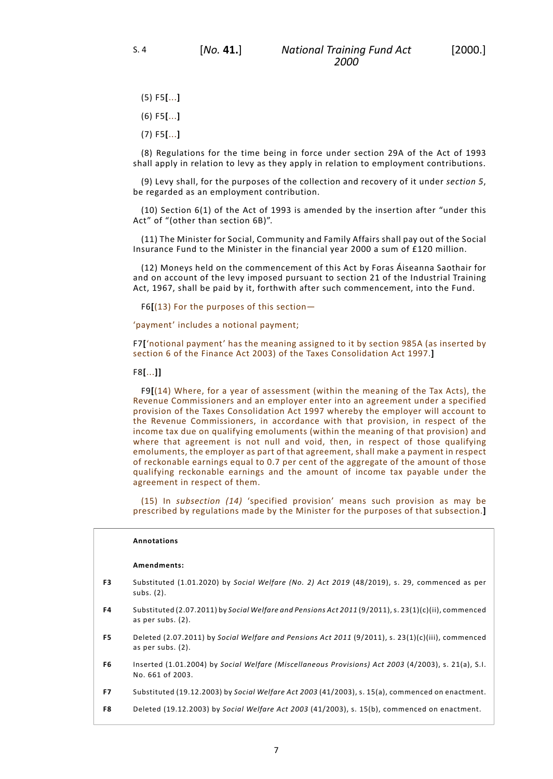- (5) F5**[**...**]**
- (6) F5**[**...**]**
- (7) F5**[**...**]**

(8) Regulations for the time being in force under section 29A of the Act of 1993 shall apply in relation to levy as they apply in relation to employment contributions.

(9) Levy shall, for the purposes of the collection and recovery of it under *section 5*, be regarded as an employment contribution.

(10) Section 6(1) of the Act of 1993 is amended by the insertion after "under this Act" of "(other than section 6B)".

(11) The Minister for Social, Community and Family Affairs shall pay out of the Social Insurance Fund to the Minister in the financial year 2000 a sum of £120 million.

(12) Moneys held on the commencement of this Act by Foras Áiseanna Saothair for and on account of the levy imposed pursuant to section 21 of the Industrial Training Act, 1967, shall be paid by it, forthwith after such commencement, into the Fund.

F6**[**(13) For the purposes of this section—

'payment' includes a notional payment;

F7**[**'notional payment' has the meaning assigned to it by section 985A (as inserted by section 6 of the Finance Act 2003) of the Taxes Consolidation Act 1997.**]**

#### F8**[**...**]]**

F9**[**(14) Where, for a year of assessment (within the meaning of the Tax Acts), the Revenue Commissioners and an employer enter into an agreement under a specified provision of the Taxes Consolidation Act 1997 whereby the employer will account to the Revenue Commissioners, in accordance with that provision, in respect of the income tax due on qualifying emoluments (within the meaning of that provision) and where that agreement is not null and void, then, in respect of those qualifying emoluments, the employer as part of that agreement, shall make a payment in respect of reckonable earnings equal to 0.7 per cent of the aggregate of the amount of those qualifying reckonable earnings and the amount of income tax payable under the agreement in respect of them.

(15) In *subsection (14)* 'specified provision' means such provision as may be prescribed by regulations made by the Minister for the purposes of that subsection.**]**

### **Annotations**

#### **Amendments:**

- **F3** Substituted (1.01.2020) by *Social Welfare (No. 2) Act 2019* (48/2019), s. 29, commenced as per subs. (2).
- **F4** Substituted (2.07.2011) by *Social Welfare and Pensions Act 2011* (9/2011), s. 23(1)(c)(ii), commenced as per subs. (2).
- **F5** Deleted (2.07.2011) by *Social Welfare and Pensions Act 2011* (9/2011), s. 23(1)(c)(iii), commenced as per subs. (2).
- **F6** Inserted (1.01.2004) by *Social Welfare (Miscellaneous Provisions) Act 2003* (4/2003), s. 21(a), S.I. No. 661 of 2003.
- **F7** Substituted (19.12.2003) by *Social Welfare Act 2003* (41/2003), s. 15(a), commenced on enactment.
- **F8** Deleted (19.12.2003) by *Social Welfare Act 2003* (41/2003), s. 15(b), commenced on enactment.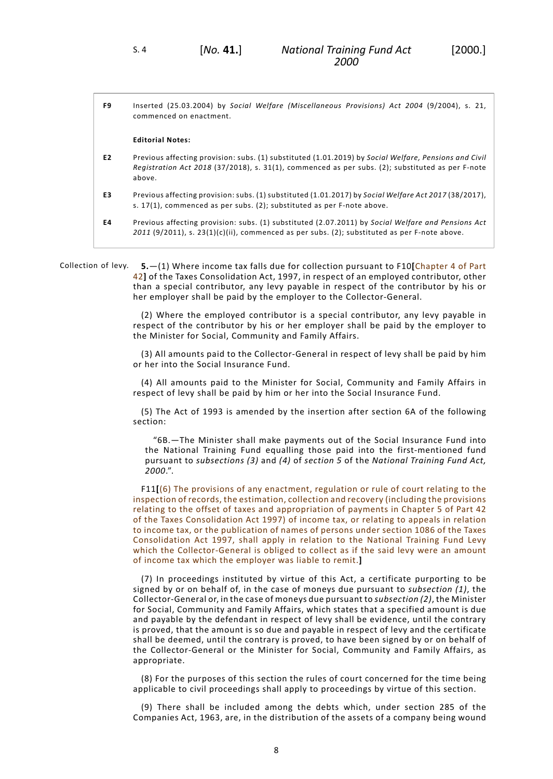| F9 | Inserted (25.03.2004) by Social Welfare (Miscellaneous Provisions) Act 2004 (9/2004), s. 21,<br>commenced on enactment.                                                                                             |
|----|---------------------------------------------------------------------------------------------------------------------------------------------------------------------------------------------------------------------|
|    | <b>Editorial Notes:</b>                                                                                                                                                                                             |
| E2 | Previous affecting provision: subs. (1) substituted (1.01.2019) by Social Welfare, Pensions and Civil<br>Registration Act 2018 (37/2018), s. 31(1), commenced as per subs. (2); substituted as per F-note<br>above. |
| E3 | Previous affecting provision: subs. (1) substituted (1.01.2017) by Social Welfare Act 2017 (38/2017),<br>s. 17(1), commenced as per subs. (2); substituted as per F-note above.                                     |
| E4 | Previous affecting provision: subs. (1) substituted (2.07.2011) by Social Welfare and Pensions Act<br>$2011$ (9/2011), s. $23(1)(c)(ii)$ , commenced as per subs. (2); substituted as per F-note above.             |

<span id="page-11-0"></span>Collection of levy. **5.**—(1) Where income tax falls due for collection pursuant to F10**[**Chapter 4 of Part 42**]** of the Taxes Consolidation Act, 1997, in respect of an employed contributor, other than a special contributor, any levy payable in respect of the contributor by his or her employer shall be paid by the employer to the Collector-General.

> (2) Where the employed contributor is a special contributor, any levy payable in respect of the contributor by his or her employer shall be paid by the employer to the Minister for Social, Community and Family Affairs.

> (3) All amounts paid to the Collector-General in respect of levy shall be paid by him or her into the Social Insurance Fund.

> (4) All amounts paid to the Minister for Social, Community and Family Affairs in respect of levy shall be paid by him or her into the Social Insurance Fund.

> (5) The Act of 1993 is amended by the insertion after section 6A of the following section:

"6B.—The Minister shall make payments out of the Social Insurance Fund into the National Training Fund equalling those paid into the first-mentioned fund pursuant to *subsections (3)* and *(4)* of *section 5* of the *National Training Fund Act, 2000*.".

F11**[**(6) The provisions of any enactment, regulation or rule of court relating to the inspection of records, the estimation, collection and recovery (including the provisions relating to the offset of taxes and appropriation of payments in Chapter 5 of Part 42 of the Taxes Consolidation Act 1997) of income tax, or relating to appeals in relation to income tax, or the publication of names of persons under section 1086 of the Taxes Consolidation Act 1997, shall apply in relation to the National Training Fund Levy which the Collector-General is obliged to collect as if the said levy were an amount of income tax which the employer was liable to remit.**]**

(7) In proceedings instituted by virtue of this Act, a certificate purporting to be signed by or on behalf of, in the case of moneys due pursuant to *subsection (1)*, the Collector-General or, in the case of moneys due pursuant to *subsection (2)*, the Minister for Social, Community and Family Affairs, which states that a specified amount is due and payable by the defendant in respect of levy shall be evidence, until the contrary is proved, that the amount is so due and payable in respect of levy and the certificate shall be deemed, until the contrary is proved, to have been signed by or on behalf of the Collector-General or the Minister for Social, Community and Family Affairs, as appropriate.

(8) For the purposes of this section the rules of court concerned for the time being applicable to civil proceedings shall apply to proceedings by virtue of this section.

(9) There shall be included among the debts which, under section 285 of the Companies Act, 1963, are, in the distribution of the assets of a company being wound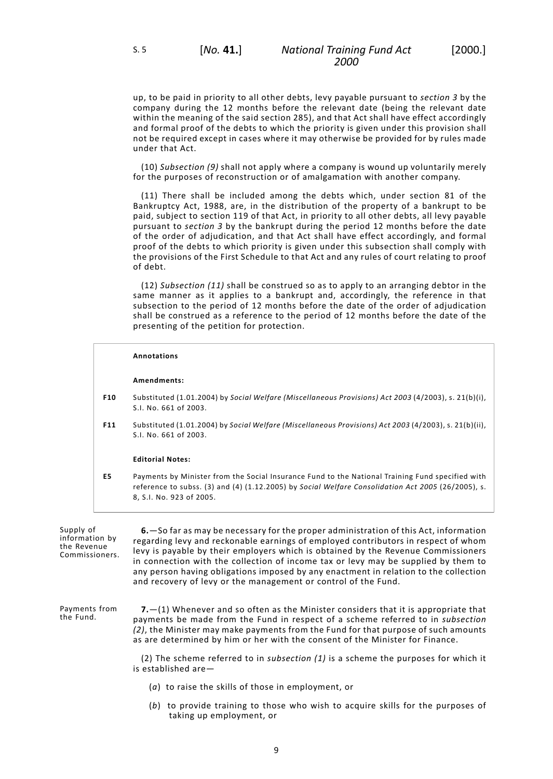up, to be paid in priority to all other debts, levy payable pursuant to *section 3* by the company during the 12 months before the relevant date (being the relevant date within the meaning of the said section 285), and that Act shall have effect accordingly and formal proof of the debts to which the priority is given under this provision shall not be required except in cases where it may otherwise be provided for by rules made under that Act.

(10) *Subsection (9)* shall not apply where a company is wound up voluntarily merely for the purposes of reconstruction or of amalgamation with another company.

(11) There shall be included among the debts which, under section 81 of the Bankruptcy Act, 1988, are, in the distribution of the property of a bankrupt to be paid, subject to section 119 of that Act, in priority to all other debts, all levy payable pursuant to *section 3* by the bankrupt during the period 12 months before the date of the order of adjudication, and that Act shall have effect accordingly, and formal proof of the debts to which priority is given under this subsection shall comply with the provisions of the First Schedule to that Act and any rules of court relating to proof of debt.

(12) *Subsection (11)* shall be construed so as to apply to an arranging debtor in the same manner as it applies to a bankrupt and, accordingly, the reference in that subsection to the period of 12 months before the date of the order of adjudication shall be construed as a reference to the period of 12 months before the date of the presenting of the petition for protection.

# **Annotations Amendments: F10** Substituted (1.01.2004) by *Social Welfare (Miscellaneous Provisions) Act 2003* (4/2003), s. 21(b)(i), S.I. No. 661 of 2003. **F11** Substituted (1.01.2004) by *Social Welfare (Miscellaneous Provisions) Act 2003* (4/2003), s. 21(b)(ii), S.I. No. 661 of 2003. **Editorial Notes: E5** Payments by Minister from the Social Insurance Fund to the National Training Fund specified with reference to subss. (3) and (4) (1.12.2005) by *Social Welfare Consolidation Act 2005* (26/2005), s.

| Supply of<br>information by<br>the Revenue<br>Commissioners. | 6. So far as may be necessary for the proper administration of this Act, information<br>regarding levy and reckonable earnings of employed contributors in respect of whom<br>levy is payable by their employers which is obtained by the Revenue Commissioners<br>in connection with the collection of income tax or levy may be supplied by them to<br>any person having obligations imposed by any enactment in relation to the collection<br>and recovery of levy or the management or control of the Fund. |
|--------------------------------------------------------------|-----------------------------------------------------------------------------------------------------------------------------------------------------------------------------------------------------------------------------------------------------------------------------------------------------------------------------------------------------------------------------------------------------------------------------------------------------------------------------------------------------------------|
| Payments from<br>the Fund.                                   | <b>7.</b> $-(1)$ Whenever and so often as the Minister considers that it is appropriate that<br>payments be made from the Fund in respect of a scheme referred to in subsection<br>(2), the Minister may make payments from the Fund for that purpose of such amounts<br>as are determined by him or her with the consent of the Minister for Finance.                                                                                                                                                          |
|                                                              | (2) The scheme referred to in <i>subsection</i> $(1)$ is a scheme the purposes for which it<br>is established are-                                                                                                                                                                                                                                                                                                                                                                                              |
|                                                              | $(a)$ to raise the skills of those in employment, or                                                                                                                                                                                                                                                                                                                                                                                                                                                            |

<span id="page-12-1"></span><span id="page-12-0"></span>8, S.I. No. 923 of 2005.

(*b*) to provide training to those who wish to acquire skills for the purposes of taking up employment, or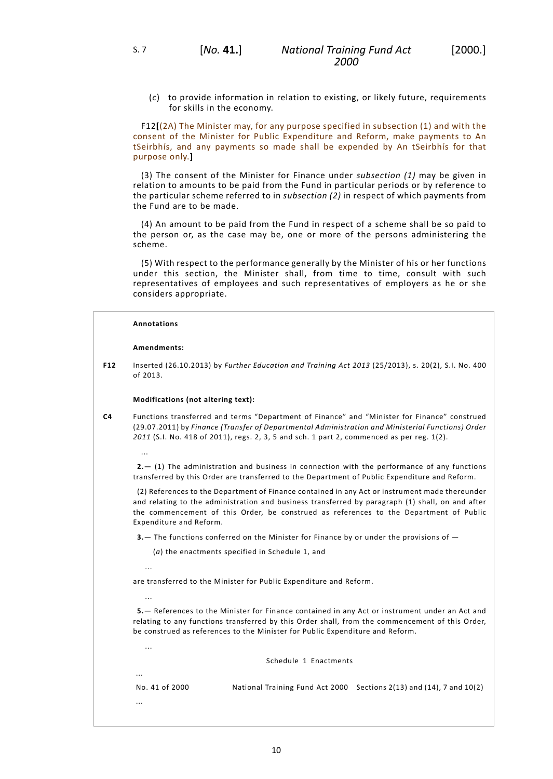(*c*) to provide information in relation to existing, or likely future, requirements for skills in the economy.

F12**[**(2A) The Minister may, for any purpose specified in subsection (1) and with the consent of the Minister for Public Expenditure and Reform, make payments to An tSeirbhís, and any payments so made shall be expended by An tSeirbhís for that purpose only.**]**

(3) The consent of the Minister for Finance under *subsection (1)* may be given in relation to amounts to be paid from the Fund in particular periods or by reference to the particular scheme referred to in *subsection (2)* in respect of which payments from the Fund are to be made.

(4) An amount to be paid from the Fund in respect of a scheme shall be so paid to the person or, as the case may be, one or more of the persons administering the scheme.

(5) With respect to the performance generally by the Minister of his or her functions under this section, the Minister shall, from time to time, consult with such representatives of employees and such representatives of employers as he or she considers appropriate.

#### **Annotations**

#### **Amendments:**

...

...

...

...

...

**F12** Inserted (26.10.2013) by *Further Education and Training Act 2013* (25/2013), s. 20(2), S.I. No. 400 of 2013.

#### **Modifications (not altering text):**

**C4** Functions transferred and terms "Department of Finance" and "Minister for Finance" construed (29.07.2011) by *Finance (Transfer of Departmental Administration and Ministerial Functions) Order 2011* (S.I. No. 418 of 2011), regs. 2, 3, 5 and sch. 1 part 2, commenced as per reg. 1(2).

**2.**— (1) The administration and business in connection with the performance of any functions transferred by this Order are transferred to the Department of Public Expenditure and Reform.

(2) References to the Department of Finance contained in any Act or instrument made thereunder and relating to the administration and business transferred by paragraph (1) shall, on and after the commencement of this Order, be construed as references to the Department of Public Expenditure and Reform.

**3.**— The functions conferred on the Minister for Finance by or under the provisions of —

(*a*) the enactments specified in Schedule 1, and

are transferred to the Minister for Public Expenditure and Reform.

**5.**— References to the Minister for Finance contained in any Act or instrument under an Act and relating to any functions transferred by this Order shall, from the commencement of this Order, be construed as references to the Minister for Public Expenditure and Reform.

Schedule 1 Enactments

No. 41 of 2000 National Training Fund Act 2000 Sections 2(13) and (14), 7 and 10(2) ...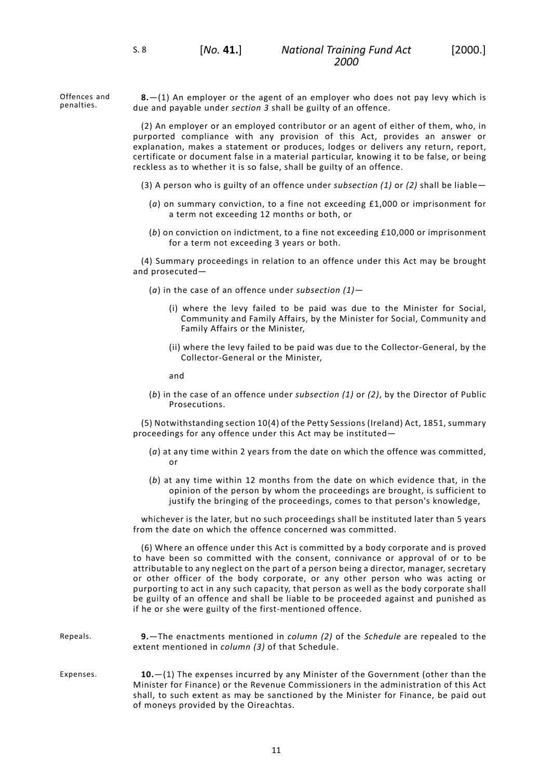Offences and penalties.

<span id="page-14-0"></span>**8.**—(1) An employer or the agent of an employer who does not pay levy which is due and payable under *section 3* shall be guilty of an offence.

(2) An employer or an employed contributor or an agent of either of them, who, in purported compliance with any provision of this Act, provides an answer or explanation, makes a statement or produces, lodges or delivers any return, report, certificate or document false in a material particular, knowing it to be false, or being reckless as to whether it is so false, shall be guilty of an offence.

- (3) A person who is guilty of an offence under *subsection (1)* or *(2)* shall be liable—
	- (*a*) on summary conviction, to a fine not exceeding £1,000 or imprisonment for a term not exceeding 12 months or both, or
	- (*b*) on conviction on indictment, to a fine not exceeding £10,000 or imprisonment for a term not exceeding 3 years or both.

(4) Summary proceedings in relation to an offence under this Act may be brought and prosecuted—

- (*a*) in the case of an offence under *subsection (1)*
	- (i) where the levy failed to be paid was due to the Minister for Social, Community and Family Affairs, by the Minister for Social, Community and Family Affairs or the Minister,
	- (ii) where the levy failed to be paid was due to the Collector-General, by the Collector-General or the Minister,

and

(*b*) in the case of an offence under *subsection (1)* or *(2)*, by the Director of Public Prosecutions.

(5) Notwithstanding section 10(4) of the Petty Sessions (Ireland) Act, 1851, summary proceedings for any offence under this Act may be instituted—

- (*a*) at any time within 2 years from the date on which the offence was committed, or
- (*b*) at any time within 12 months from the date on which evidence that, in the opinion of the person by whom the proceedings are brought, is sufficient to justify the bringing of the proceedings, comes to that person's knowledge,

whichever is the later, but no such proceedings shall be instituted later than 5 years from the date on which the offence concerned was committed.

<span id="page-14-2"></span><span id="page-14-1"></span>(6) Where an offence under this Act is committed by a body corporate and is proved to have been so committed with the consent, connivance or approval of or to be attributable to any neglect on the part of a person being a director, manager, secretary or other officer of the body corporate, or any other person who was acting or purporting to act in any such capacity, that person as well as the body corporate shall be guilty of an offence and shall be liable to be proceeded against and punished as if he or she were guilty of the first-mentioned offence.

| Repeals. | <b>9.</b> —The enactments mentioned in <i>column</i> (2) of the <i>Schedule</i> are repealed to the |
|----------|-----------------------------------------------------------------------------------------------------|
|          | extent mentioned in column (3) of that Schedule.                                                    |

Expenses. **10.**—(1) The expenses incurred by any Minister of the Government (other than the Minister for Finance) or the Revenue Commissioners in the administration of this Act shall, to such extent as may be sanctioned by the Minister for Finance, be paid out of moneys provided by the Oireachtas.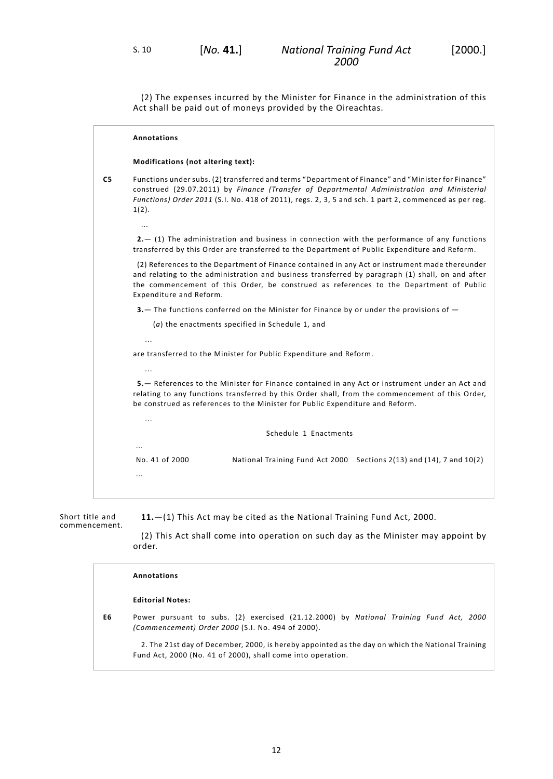(2) The expenses incurred by the Minister for Finance in the administration of this Act shall be paid out of moneys provided by the Oireachtas.

|                | <b>Annotations</b>                                                                                                                                                                                                                                                                                                      |  |  |
|----------------|-------------------------------------------------------------------------------------------------------------------------------------------------------------------------------------------------------------------------------------------------------------------------------------------------------------------------|--|--|
|                | Modifications (not altering text):                                                                                                                                                                                                                                                                                      |  |  |
| C <sub>5</sub> | Functions under subs. (2) transferred and terms "Department of Finance" and "Minister for Finance"<br>construed (29.07.2011) by Finance (Transfer of Departmental Administration and Ministerial<br>Functions) Order 2011 (S.I. No. 418 of 2011), regs. 2, 3, 5 and sch. 1 part 2, commenced as per reg.<br>1(2).       |  |  |
|                | $\cdots$                                                                                                                                                                                                                                                                                                                |  |  |
|                | $2 - (1)$ The administration and business in connection with the performance of any functions<br>transferred by this Order are transferred to the Department of Public Expenditure and Reform.                                                                                                                          |  |  |
|                | (2) References to the Department of Finance contained in any Act or instrument made thereunder<br>and relating to the administration and business transferred by paragraph (1) shall, on and after<br>the commencement of this Order, be construed as references to the Department of Public<br>Expenditure and Reform. |  |  |
|                | 3. The functions conferred on the Minister for Finance by or under the provisions of -                                                                                                                                                                                                                                  |  |  |
|                | $(a)$ the enactments specified in Schedule 1, and                                                                                                                                                                                                                                                                       |  |  |
|                | $\ddotsc$                                                                                                                                                                                                                                                                                                               |  |  |
|                | are transferred to the Minister for Public Expenditure and Reform.                                                                                                                                                                                                                                                      |  |  |
|                |                                                                                                                                                                                                                                                                                                                         |  |  |
|                | $\cdots$                                                                                                                                                                                                                                                                                                                |  |  |
|                | 5. – References to the Minister for Finance contained in any Act or instrument under an Act and<br>relating to any functions transferred by this Order shall, from the commencement of this Order,<br>be construed as references to the Minister for Public Expenditure and Reform.                                     |  |  |
|                | $\ddotsc$                                                                                                                                                                                                                                                                                                               |  |  |
|                | Schedule 1 Enactments                                                                                                                                                                                                                                                                                                   |  |  |
|                |                                                                                                                                                                                                                                                                                                                         |  |  |
|                | No. 41 of 2000<br>National Training Fund Act 2000 Sections 2(13) and (14), 7 and 10(2)                                                                                                                                                                                                                                  |  |  |
|                | .                                                                                                                                                                                                                                                                                                                       |  |  |
|                |                                                                                                                                                                                                                                                                                                                         |  |  |

Short title and commencement. <span id="page-15-0"></span>**11.**—(1) This Act may be cited as the National Training Fund Act, 2000.

(2) This Act shall come into operation on such day as the Minister may appoint by order.

|    | Annotations                                                                                                                                                     |  |  |
|----|-----------------------------------------------------------------------------------------------------------------------------------------------------------------|--|--|
|    | <b>Editorial Notes:</b>                                                                                                                                         |  |  |
| E6 | Power pursuant to subs. (2) exercised (21.12.2000) by National Training Fund Act, 2000<br>(Commencement) Order 2000 (S.I. No. 494 of 2000).                     |  |  |
|    | 2. The 21st day of December, 2000, is hereby appointed as the day on which the National Training<br>Fund Act, 2000 (No. 41 of 2000), shall come into operation. |  |  |